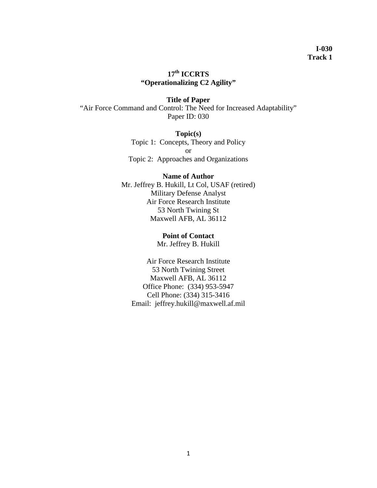# **17th ICCRTS "Operationalizing C2 Agility"**

**Title of Paper** "Air Force Command and Control: The Need for Increased Adaptability" Paper ID: 030

> **Topic(s)** Topic 1: Concepts, Theory and Policy or Topic 2: Approaches and Organizations

## **Name of Author**

Mr. Jeffrey B. Hukill, Lt Col, USAF (retired) Military Defense Analyst Air Force Research Institute 53 North Twining St Maxwell AFB, AL 36112

#### **Point of Contact**

Mr. Jeffrey B. Hukill

Air Force Research Institute 53 North Twining Street Maxwell AFB, AL 36112 Office Phone: (334) 953-5947 Cell Phone: (334) 315-3416 Email: jeffrey.hukill@maxwell.af.mil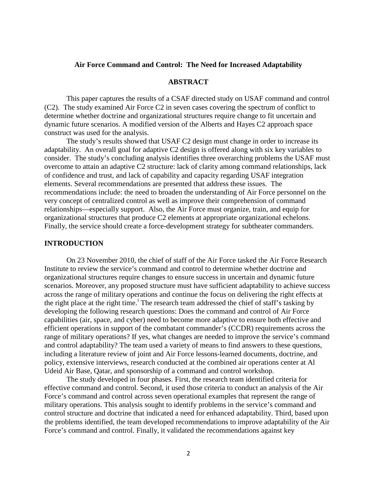## **Air Force Command and Control: The Need for Increased Adaptability**

#### **ABSTRACT**

This paper captures the results of a CSAF directed study on USAF command and control (C2). The study examined Air Force C2 in seven cases covering the spectrum of conflict to determine whether doctrine and organizational structures require change to fit uncertain and dynamic future scenarios. A modified version of the Alberts and Hayes C2 approach space construct was used for the analysis.

The study's results showed that USAF C2 design must change in order to increase its adaptability. An overall goal for adaptive C2 design is offered along with six key variables to consider. The study's concluding analysis identifies three overarching problems the USAF must overcome to attain an adaptive C2 structure: lack of clarity among command relationships, lack of confidence and trust, and lack of capability and capacity regarding USAF integration elements. Several recommendations are presented that address these issues. The recommendations include: the need to broaden the understanding of Air Force personnel on the very concept of centralized control as well as improve their comprehension of command relationships—especially support. Also, the Air Force must organize, train, and equip for organizational structures that produce C2 elements at appropriate organizational echelons. Finally, the service should create a force-development strategy for subtheater commanders.

## **INTRODUCTION**

On 23 November 2010, the chief of staff of the Air Force tasked the Air Force Research Institute to review the service's command and control to determine whether doctrine and organizational structures require changes to ensure success in uncertain and dynamic future scenarios. Moreover, any proposed structure must have sufficient adaptability to achieve success across the range of military operations and continue the focus on delivering the right effects at the r[i](#page-20-0)ght place at the right time.<sup>1</sup> The research team addressed the chief of staff's tasking by developing the following research questions: Does the command and control of Air Force capabilities (air, space, and cyber) need to become more adaptive to ensure both effective and efficient operations in support of the combatant commander's (CCDR) requirements across the range of military operations? If yes, what changes are needed to improve the service's command and control adaptability? The team used a variety of means to find answers to these questions, including a literature review of joint and Air Force lessons-learned documents, doctrine, and policy, extensive interviews, research conducted at the combined air operations center at Al Udeid Air Base, Qatar, and sponsorship of a command and control workshop.

The study developed in four phases. First, the research team identified criteria for effective command and control. Second, it used those criteria to conduct an analysis of the Air Force's command and control across seven operational examples that represent the range of military operations. This analysis sought to identify problems in the service's command and control structure and doctrine that indicated a need for enhanced adaptability. Third, based upon the problems identified, the team developed recommendations to improve adaptability of the Air Force's command and control. Finally, it validated the recommendations against key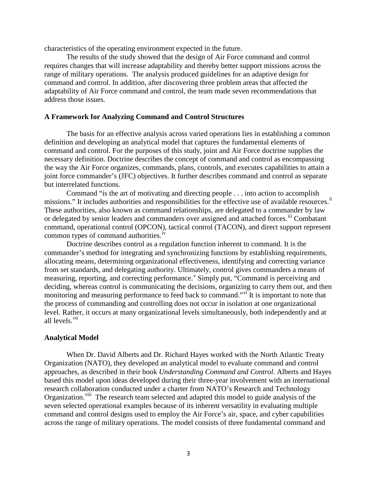characteristics of the operating environment expected in the future.

The results of the study showed that the design of Air Force command and control requires changes that will increase adaptability and thereby better support missions across the range of military operations. The analysis produced guidelines for an adaptive design for command and control. In addition, after discovering three problem areas that affected the adaptability of Air Force command and control, the team made seven recommendations that address those issues.

## **A Framework for Analyzing Command and Control Structures**

The basis for an effective analysis across varied operations lies in establishing a common definition and developing an analytical model that captures the fundamental elements of command and control. For the purposes of this study, joint and Air Force doctrine supplies the necessary definition. Doctrine describes the concept of command and control as encompassing the way the Air Force organizes, commands, plans, controls, and executes capabilities to attain a joint force commander's (JFC) objectives. It further describes command and control as separate but interrelated functions.

Command "is the art of motivating and directing people . . . into action to accomplish missions." It includes authorities and responsibilities for the effective use of available resources.<sup>[ii](#page-20-1)</sup> These authorities, also known as command relationships, are delegated to a commander by law or delegated by senior leaders and commanders over assigned and attached forces.<sup>[iii](#page-20-2)</sup> Combatant command, operational control (OPCON), tactical control (TACON), and direct support represent common types of command authorities.<sup>[iv](#page-20-3)</sup>

Doctrine describes control as a regulation function inherent to command. It is the commander's method for integrating and synchronizing functions by establishing requirements, allocating means, determining organizational effectiveness, identifying and correcting variance from set standards, and delegating authority. Ultimately, control gives commanders a means of measuring, reporting, and correcting performance. Simply put, "Command is percei[v](#page-21-0)ing and deciding, whereas control is communicating the decisions, organizing to carry them out, and then monitoring and measuring performance to feed back to command."<sup>[vi](#page-21-1)</sup> It is important to note that the process of commanding and controlling does not occur in isolation at one organizational level. Rather, it occurs at many organizational levels simultaneously, both independently and at all levels.<sup>[vii](#page-21-2)</sup>

#### **Analytical Model**

When Dr. David Alberts and Dr. Richard Hayes worked with the North Atlantic Treaty Organization (NATO), they developed an analytical model to evaluate command and control approaches, as described in their book *Understanding Command and Control*. Alberts and Hayes based this model upon ideas developed during their three-year involvement with an international research collaboration conducted under a charter from NATO's Research and Technology Organization.<sup>viii</sup> The research team selected and adapted this model to guide analysis of the seven selected operational examples because of its inherent versatility in evaluating multiple command and control designs used to employ the Air Force's air, space, and cyber capabilities across the range of military operations. The model consists of three fundamental command and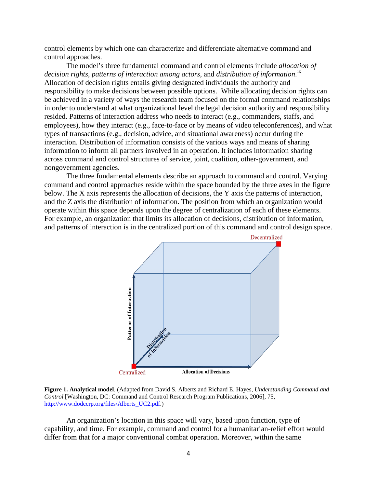control elements by which one can characterize and differentiate alternative command and control approaches.

The model's three fundamental command and control elements include *allocation of*  decision rights, patterns of interaction among actors, and distribution of information.<sup>[ix](#page-21-4)</sup> Allocation of decision rights entails giving designated individuals the authority and responsibility to make decisions between possible options. While allocating decision rights can be achieved in a variety of ways the research team focused on the formal command relationships in order to understand at what organizational level the legal decision authority and responsibility resided. Patterns of interaction address who needs to interact (e.g., commanders, staffs, and employees), how they interact (e.g., face-to-face or by means of video teleconferences), and what types of transactions (e.g., decision, advice, and situational awareness) occur during the interaction. Distribution of information consists of the various ways and means of sharing information to inform all partners involved in an operation. It includes information sharing across command and control structures of service, joint, coalition, other-government, and nongovernment agencies.

The three fundamental elements describe an approach to command and control. Varying command and control approaches reside within the space bounded by the three axes in the figure below. The X axis represents the allocation of decisions, the Y axis the patterns of interaction, and the Z axis the distribution of information. The position from which an organization would operate within this space depends upon the degree of centralization of each of these elements. For example, an organization that limits its allocation of decisions, distribution of information, and patterns of interaction is in the centralized portion of this command and control design space.





An organization's location in this space will vary, based upon function, type of capability, and time. For example, command and control for a humanitarian-relief effort would differ from that for a major conventional combat operation. Moreover, within the same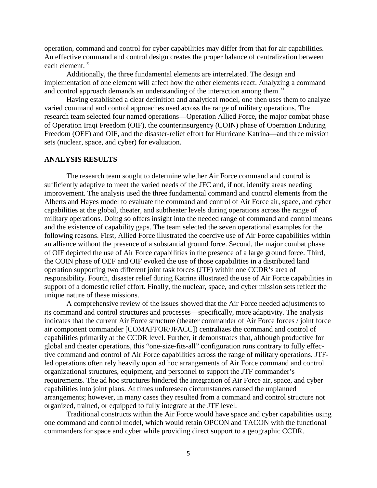operation, command and control for cyber capabilities may differ from that for air capabilities. An effective command and control design creates the proper balance of centralization between each element.<sup>[x](#page-21-5)</sup>

Additionally, the three fundamental elements are interrelated. The design and implementation of one element will affect how the other elements react. Analyzing a command and control approach demands an understanding of the interaction among them.<sup>[xi](#page-21-6)</sup>

Having established a clear definition and analytical model, one then uses them to analyze varied command and control approaches used across the range of military operations. The research team selected four named operations—Operation Allied Force, the major combat phase of Operation Iraqi Freedom (OIF), the counterinsurgency (COIN) phase of Operation Enduring Freedom (OEF) and OIF, and the disaster-relief effort for Hurricane Katrina—and three mission sets (nuclear, space, and cyber) for evaluation.

## **ANALYSIS RESULTS**

The research team sought to determine whether Air Force command and control is sufficiently adaptive to meet the varied needs of the JFC and, if not, identify areas needing improvement. The analysis used the three fundamental command and control elements from the Alberts and Hayes model to evaluate the command and control of Air Force air, space, and cyber capabilities at the global, theater, and subtheater levels during operations across the range of military operations. Doing so offers insight into the needed range of command and control means and the existence of capability gaps. The team selected the seven operational examples for the following reasons. First, Allied Force illustrated the coercive use of Air Force capabilities within an alliance without the presence of a substantial ground force. Second, the major combat phase of OIF depicted the use of Air Force capabilities in the presence of a large ground force. Third, the COIN phase of OEF and OIF evoked the use of those capabilities in a distributed land operation supporting two different joint task forces (JTF) within one CCDR's area of responsibility. Fourth, disaster relief during Katrina illustrated the use of Air Force capabilities in support of a domestic relief effort. Finally, the nuclear, space, and cyber mission sets reflect the unique nature of these missions.

A comprehensive review of the issues showed that the Air Force needed adjustments to its command and control structures and processes—specifically, more adaptivity. The analysis indicates that the current Air Force structure (theater commander of Air Force forces / joint force air component commander [COMAFFOR/JFACC]) centralizes the command and control of capabilities primarily at the CCDR level. Further, it demonstrates that, although productive for global and theater operations, this "one-size-fits-all" configuration runs contrary to fully effective command and control of Air Force capabilities across the range of military operations. JTFled operations often rely heavily upon ad hoc arrangements of Air Force command and control organizational structures, equipment, and personnel to support the JTF commander's requirements. The ad hoc structures hindered the integration of Air Force air, space, and cyber capabilities into joint plans. At times unforeseen circumstances caused the unplanned arrangements; however, in many cases they resulted from a command and control structure not organized, trained, or equipped to fully integrate at the JTF level.

Traditional constructs within the Air Force would have space and cyber capabilities using one command and control model, which would retain OPCON and TACON with the functional commanders for space and cyber while providing direct support to a geographic CCDR.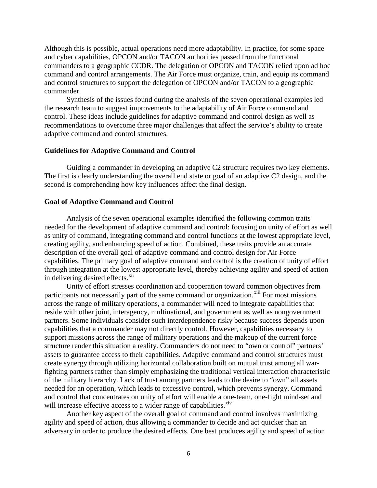Although this is possible, actual operations need more adaptability. In practice, for some space and cyber capabilities, OPCON and/or TACON authorities passed from the functional commanders to a geographic CCDR. The delegation of OPCON and TACON relied upon ad hoc command and control arrangements. The Air Force must organize, train, and equip its command and control structures to support the delegation of OPCON and/or TACON to a geographic commander.

Synthesis of the issues found during the analysis of the seven operational examples led the research team to suggest improvements to the adaptability of Air Force command and control. These ideas include guidelines for adaptive command and control design as well as recommendations to overcome three major challenges that affect the service's ability to create adaptive command and control structures.

#### **Guidelines for Adaptive Command and Control**

Guiding a commander in developing an adaptive C2 structure requires two key elements. The first is clearly understanding the overall end state or goal of an adaptive C2 design, and the second is comprehending how key influences affect the final design.

## **Goal of Adaptive Command and Control**

Analysis of the seven operational examples identified the following common traits needed for the development of adaptive command and control: focusing on unity of effort as well as unity of command, integrating command and control functions at the lowest appropriate level, creating agility, and enhancing speed of action. Combined, these traits provide an accurate description of the overall goal of adaptive command and control design for Air Force capabilities. The primary goal of adaptive command and control is the creation of unity of effort through integration at the lowest appropriate level, thereby achieving agility and speed of action in delivering desired effects.<sup>[xii](#page-21-7)</sup>

Unity of effort stresses coordination and cooperation toward common objectives from participants not necessarily part of the same command or organization.<sup>[xiii](#page-21-8)</sup> For most missions across the range of military operations, a commander will need to integrate capabilities that reside with other joint, interagency, multinational, and government as well as nongovernment partners. Some individuals consider such interdependence risky because success depends upon capabilities that a commander may not directly control. However, capabilities necessary to support missions across the range of military operations and the makeup of the current force structure render this situation a reality. Commanders do not need to "own or control" partners' assets to guarantee access to their capabilities. Adaptive command and control structures must create synergy through utilizing horizontal collaboration built on mutual trust among all warfighting partners rather than simply emphasizing the traditional vertical interaction characteristic of the military hierarchy. Lack of trust among partners leads to the desire to "own" all assets needed for an operation, which leads to excessive control, which prevents synergy. Command and control that concentrates on unity of effort will enable a one-team, one-fight mind-set and will increase effective access to a wider range of capabilities.<sup>[xiv](#page-21-9)</sup>

Another key aspect of the overall goal of command and control involves maximizing agility and speed of action, thus allowing a commander to decide and act quicker than an adversary in order to produce the desired effects. One best produces agility and speed of action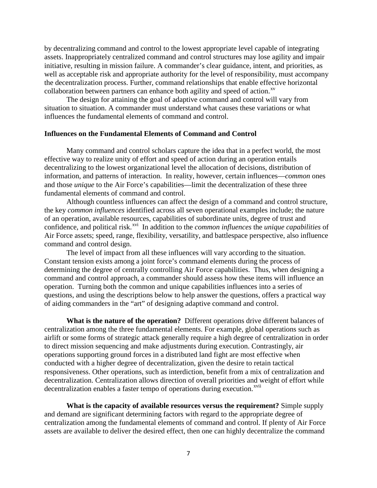by decentralizing command and control to the lowest appropriate level capable of integrating assets. Inappropriately centralized command and control structures may lose agility and impair initiative, resulting in mission failure. A commander's clear guidance, intent, and priorities, as well as acceptable risk and appropriate authority for the level of responsibility, must accompany the decentralization process. Further, command relationships that enable effective horizontal collaboration between partners can enhance both agility and speed of action.<sup>[xv](#page-21-10)</sup>

The design for attaining the goal of adaptive command and control will vary from situation to situation. A commander must understand what causes these variations or what influences the fundamental elements of command and control.

#### **Influences on the Fundamental Elements of Command and Control**

Many command and control scholars capture the idea that in a perfect world, the most effective way to realize unity of effort and speed of action during an operation entails decentralizing to the lowest organizational level the allocation of decisions, distribution of information, and patterns of interaction. In reality, however, certain influences—*common* ones and those *unique* to the Air Force's capabilities—limit the decentralization of these three fundamental elements of command and control.

Although countless influences can affect the design of a command and control structure, the key *common influences* identified across all seven operational examples include; the nature of an operation, available resources, capabilities of subordinate units, degree of trust and confidence, and political risk.<sup>[xvi](#page-21-11)</sup> In addition to the *common influences* the *unique capabilities* of Air Force assets; speed, range, flexibility, versatility, and battlespace perspective, also influence command and control design.

The level of impact from all these influences will vary according to the situation. Constant tension exists among a joint force's command elements during the process of determining the degree of centrally controlling Air Force capabilities. Thus, when designing a command and control approach, a commander should assess how these items will influence an operation. Turning both the common and unique capabilities influences into a series of questions, and using the descriptions below to help answer the questions, offers a practical way of aiding commanders in the "art" of designing adaptive command and control.

**What is the nature of the operation?** Different operations drive different balances of centralization among the three fundamental elements. For example, global operations such as airlift or some forms of strategic attack generally require a high degree of centralization in order to direct mission sequencing and make adjustments during execution. Contrastingly, air operations supporting ground forces in a distributed land fight are most effective when conducted with a higher degree of decentralization, given the desire to retain tactical responsiveness. Other operations, such as interdiction, benefit from a mix of centralization and decentralization. Centralization allows direction of overall priorities and weight of effort while decentralization enables a faster tempo of operations during execution.<sup>[xvii](#page-21-12)</sup>

**What is the capacity of available resources versus the requirement?** Simple supply and demand are significant determining factors with regard to the appropriate degree of centralization among the fundamental elements of command and control. If plenty of Air Force assets are available to deliver the desired effect, then one can highly decentralize the command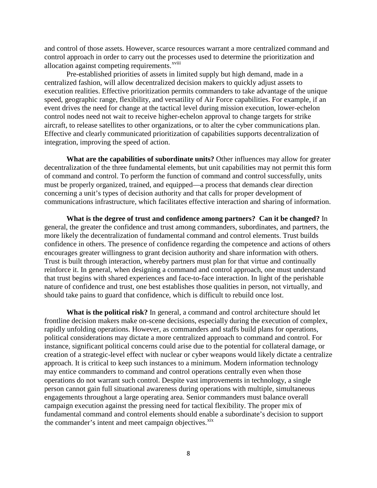and control of those assets. However, scarce resources warrant a more centralized command and control approach in order to carry out the proc[e](#page-21-13)sses used to determine the prioritization and allocation against competing requirements.<sup>xviii</sup>

Pre-established priorities of assets in limited supply but high demand, made in a centralized fashion, will allow decentralized decision makers to quickly adjust assets to execution realities. Effective prioritization permits commanders to take advantage of the unique speed, geographic range, flexibility, and versatility of Air Force capabilities. For example, if an event drives the need for change at the tactical level during mission execution, lower-echelon control nodes need not wait to receive higher-echelon approval to change targets for strike aircraft, to release satellites to other organizations, or to alter the cyber communications plan. Effective and clearly communicated prioritization of capabilities supports decentralization of integration, improving the speed of action.

**What are the capabilities of subordinate units?** Other influences may allow for greater decentralization of the three fundamental elements, but unit capabilities may not permit this form of command and control. To perform the function of command and control successfully, units must be properly organized, trained, and equipped—a process that demands clear direction concerning a unit's types of decision authority and that calls for proper development of communications infrastructure, which facilitates effective interaction and sharing of information.

**What is the degree of trust and confidence among partners? Can it be changed?** In general, the greater the confidence and trust among commanders, subordinates, and partners, the more likely the decentralization of fundamental command and control elements. Trust builds confidence in others. The presence of confidence regarding the competence and actions of others encourages greater willingness to grant decision authority and share information with others. Trust is built through interaction, whereby partners must plan for that virtue and continually reinforce it. In general, when designing a command and control approach, one must understand that trust begins with shared experiences and face-to-face interaction. In light of the perishable nature of confidence and trust, one best establishes those qualities in person, not virtually, and should take pains to guard that confidence, which is difficult to rebuild once lost.

**What is the political risk?** In general, a command and control architecture should let frontline decision makers make on-scene decisions, especially during the execution of complex, rapidly unfolding operations. However, as commanders and staffs build plans for operations, political considerations may dictate a more centralized approach to command and control. For instance, significant political concerns could arise due to the potential for collateral damage, or creation of a strategic-level effect with nuclear or cyber weapons would likely dictate a centralize approach. It is critical to keep such instances to a minimum. Modern information technology may entice commanders to command and control operations centrally even when those operations do not warrant such control. Despite vast improvements in technology, a single person cannot gain full situational awareness during operations with multiple, simultaneous engagements throughout a large operating area. Senior commanders must balance overall campaign execution against the pressing need for tactical flexibility. The proper mix of fundamental command and control elements should enable a subordinate's decision to support the commander's intent and meet campaign objectives.<sup>[xix](#page-21-14)</sup>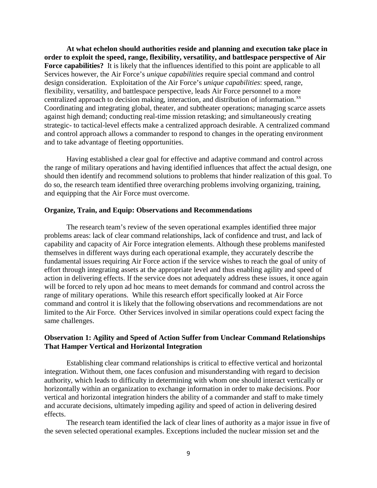**At what echelon should authorities reside and planning and execution take place in order to exploit the speed, range, flexibility, versatility, and battlespace perspective of Air Force capabilities?** It is likely that the influences identified to this point are applicable to all Services however, the Air Force's *unique capabilities* require special command and control design consideration. Exploitation of the Air Force's *unique capabilities*: speed, range, flexibility, versatility, and battlespace perspective, leads Air Force personnel to a more centralized approach to decision making, interaction, and distribution of information.<sup>[xx](#page-21-15)</sup> Coordinating and integrating global, theater, and subtheater operations; managing scarce assets against high demand; conducting real-time mission retasking; and simultaneously creating strategic- to tactical-level effects make a centralized approach desirable. A centralized command and control approach allows a commander to respond to changes in the operating environment and to take advantage of fleeting opportunities.

Having established a clear goal for effective and adaptive command and control across the range of military operations and having identified influences that affect the actual design, one should then identify and recommend solutions to problems that hinder realization of this goal. To do so, the research team identified three overarching problems involving organizing, training, and equipping that the Air Force must overcome.

#### **Organize, Train, and Equip: Observations and Recommendations**

The research team's review of the seven operational examples identified three major problems areas: lack of clear command relationships, lack of confidence and trust, and lack of capability and capacity of Air Force integration elements. Although these problems manifested themselves in different ways during each operational example, they accurately describe the fundamental issues requiring Air Force action if the service wishes to reach the goal of unity of effort through integrating assets at the appropriate level and thus enabling agility and speed of action in delivering effects. If the service does not adequately address these issues, it once again will be forced to rely upon ad hoc means to meet demands for command and control across the range of military operations. While this research effort specifically looked at Air Force command and control it is likely that the following observations and recommendations are not limited to the Air Force. Other Services involved in similar operations could expect facing the same challenges.

# **Observation 1: Agility and Speed of Action Suffer from Unclear Command Relationships That Hamper Vertical and Horizontal Integration**

Establishing clear command relationships is critical to effective vertical and horizontal integration. Without them, one faces confusion and misunderstanding with regard to decision authority, which leads to difficulty in determining with whom one should interact vertically or horizontally within an organization to exchange information in order to make decisions. Poor vertical and horizontal integration hinders the ability of a commander and staff to make timely and accurate decisions, ultimately impeding agility and speed of action in delivering desired effects.

The research team identified the lack of clear lines of authority as a major issue in five of the seven selected operational examples. Exceptions included the nuclear mission set and the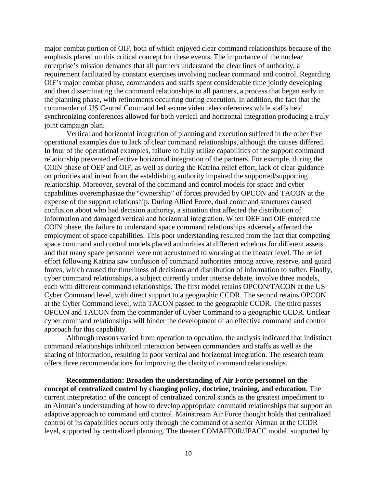major combat portion of OIF, both of which enjoyed clear command relationships because of the emphasis placed on this critical concept for these events. The importance of the nuclear enterprise's mission demands that all partners understand the clear lines of authority, a requirement facilitated by constant exercises involving nuclear command and control. Regarding OIF's major combat phase, commanders and staffs spent considerable time jointly developing and then disseminating the command relationships to all partners, a process that began early in the planning phase, with refinements occurring during execution. In addition, the fact that the commander of US Central Command led secure video teleconferences while staffs held synchronizing conferences allowed for both vertical and horizontal integration producing a truly joint campaign plan.

Vertical and horizontal integration of planning and execution suffered in the other five operational examples due to lack of clear command relationships, although the causes differed. In four of the operational examples, failure to fully utilize capabilities of the support command relationship prevented effective horizontal integration of the partners. For example, during the COIN phase of OEF and OIF, as well as during the Katrina relief effort, lack of clear guidance on priorities and intent from the establishing authority impaired the supported/supporting relationship. Moreover, several of the command and control models for space and cyber capabilities overemphasize the "ownership" of forces provided by OPCON and TACON at the expense of the support relationship. During Allied Force, dual command structures caused confusion about who had decision authority, a situation that affected the distribution of information and damaged vertical and horizontal integration. When OEF and OIF entered the COIN phase, the failure to understand space command relationships adversely affected the employment of space capabilities. This poor understanding resulted from the fact that competing space command and control models placed authorities at different echelons for different assets and that many space personnel were not accustomed to working at the theater level. The relief effort following Katrina saw confusion of command authorities among active, reserve, and guard forces, which caused the timeliness of decisions and distribution of information to suffer. Finally, cyber command relationships, a subject currently under intense debate, involve three models, each with different command relationships. The first model retains OPCON/TACON at the US Cyber Command level, with direct support to a geographic CCDR. The second retains OPCON at the Cyber Command level, with TACON passed to the geographic CCDR. The third passes OPCON and TACON from the commander of Cyber Command to a geographic CCDR. Unclear cyber command relationships will hinder the development of an effective command and control approach for this capability.

Although reasons varied from operation to operation, the analysis indicated that indistinct command relationships inhibited interaction between commanders and staffs as well as the sharing of information, resulting in poor vertical and horizontal integration. The research team offers three recommendations for improving the clarity of command relationships.

**Recommendation: Broaden the understanding of Air Force personnel on the concept of centralized control by changing policy, doctrine, training, and education**. The current interpretation of the concept of centralized control stands as the greatest impediment to an Airman's understanding of how to develop appropriate command relationships that support an adaptive approach to command and control. Mainstream Air Force thought holds that centralized control of its capabilities occurs only through the command of a senior Airman at the CCDR level, supported by centralized planning. The theater COMAFFOR/JFACC model, supported by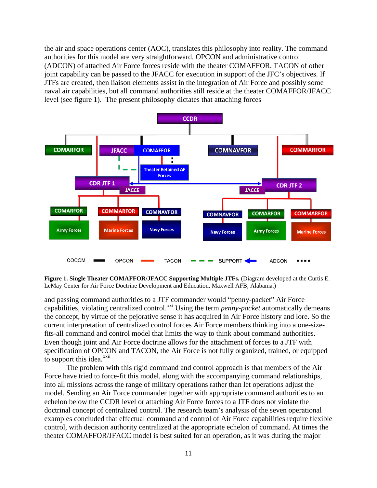the air and space operations center (AOC), translates this philosophy into reality. The command authorities for this model are very straightforward. OPCON and administrative control (ADCON) of attached Air Force forces reside with the theater COMAFFOR. TACON of other joint capability can be passed to the JFACC for execution in support of the JFC's objectives. If JTFs are created, then liaison elements assist in the integration of Air Force and possibly some naval air capabilities, but all command authorities still reside at the theater COMAFFOR/JFACC level (see figure 1). The present philosophy dictates that attaching forces



**Figure 1. Single Theater COMAFFOR/JFACC Supporting Multiple JTFs.** (Diagram developed at the Curtis E. LeMay Center for Air Force Doctrine Development and Education, Maxwell AFB, Alabama.)

and passing command authorities to a JTF commander would "penny-packet" Air Force capabilities, violating centralized control.<sup>[xxi](#page-21-16)</sup> Using the term *penny-packet* automatically demeans the concept, by virtue of the pejorative sense it has acquired in Air Force history and lore. So the current interpretation of centralized control forces Air Force members thinking into a one-sizefits-all command and control model that limits the way to think about command authorities. Even though joint and Air Force doctrine allows for the attachment of forces to a JTF with specification of OPCON and TACON, the Air Force is not fully organized, trained, or equipped to support this idea.<sup>[xxii](#page-21-17)</sup>

The problem with this rigid command and control approach is that members of the Air Force have tried to force-fit this model, along with the accompanying command relationships, into all missions across the range of military operations rather than let operations adjust the model. Sending an Air Force commander together with appropriate command authorities to an echelon below the CCDR level or attaching Air Force forces to a JTF does not violate the doctrinal concept of centralized control. The research team's analysis of the seven operational examples concluded that effectual command and control of Air Force capabilities require flexible control, with decision authority centralized at the appropriate echelon of command. At times the theater COMAFFOR/JFACC model is best suited for an operation, as it was during the major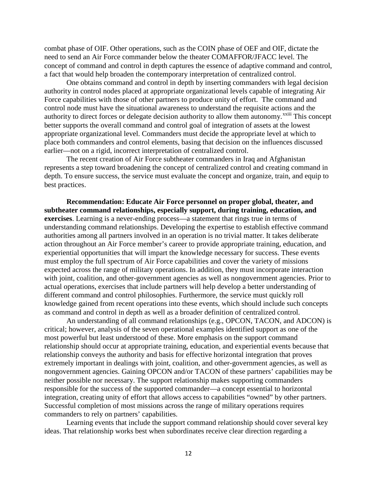combat phase of OIF. Other operations, such as the COIN phase of OEF and OIF, dictate the need to send an Air Force commander below the theater COMAFFOR/JFACC level. The concept of command and control in depth captures the essence of adaptive command and control, a fact that would help broaden the contemporary interpretation of centralized control.

One obtains command and control in depth by inserting commanders with legal decision authority in control nodes placed at appropriate organizational levels capable of integrating Air Force capabilities with those of other partners to produce unity of effort. The command and control node must have the situational awareness to understand the requisite action[s](#page-22-0) and the authority to direct forces or delegate decision authority to allow them autonomy.<sup>xxiii</sup> This concept better supports the overall command and control goal of integration of assets at the lowest appropriate organizational level. Commanders must decide the appropriate level at which to place both commanders and control elements, basing that decision on the influences discussed earlier—not on a rigid, incorrect interpretation of centralized control.

The recent creation of Air Force subtheater commanders in Iraq and Afghanistan represents a step toward broadening the concept of centralized control and creating command in depth. To ensure success, the service must evaluate the concept and organize, train, and equip to best practices.

**Recommendation: Educate Air Force personnel on proper global, theater, and subtheater command relationships, especially support, during training, education, and exercises**. Learning is a never-ending process—a statement that rings true in terms of understanding command relationships. Developing the expertise to establish effective command authorities among all partners involved in an operation is no trivial matter. It takes deliberate action throughout an Air Force member's career to provide appropriate training, education, and experiential opportunities that will impart the knowledge necessary for success. These events must employ the full spectrum of Air Force capabilities and cover the variety of missions expected across the range of military operations. In addition, they must incorporate interaction with joint, coalition, and other-government agencies as well as nongovernment agencies. Prior to actual operations, exercises that include partners will help develop a better understanding of different command and control philosophies. Furthermore, the service must quickly roll knowledge gained from recent operations into these events, which should include such concepts as command and control in depth as well as a broader definition of centralized control.

An understanding of all command relationships (e.g., OPCON, TACON, and ADCON) is critical; however, analysis of the seven operational examples identified support as one of the most powerful but least understood of these. More emphasis on the support command relationship should occur at appropriate training, education, and experiential events because that relationship conveys the authority and basis for effective horizontal integration that proves extremely important in dealings with joint, coalition, and other-government agencies, as well as nongovernment agencies. Gaining OPCON and/or TACON of these partners' capabilities may be neither possible nor necessary. The support relationship makes supporting commanders responsible for the success of the supported commander—a concept essential to horizontal integration, creating unity of effort that allows access to capabilities "owned" by other partners. Successful completion of most missions across the range of military operations requires commanders to rely on partners' capabilities.

Learning events that include the support command relationship should cover several key ideas. That relationship works best when subordinates receive clear direction regarding a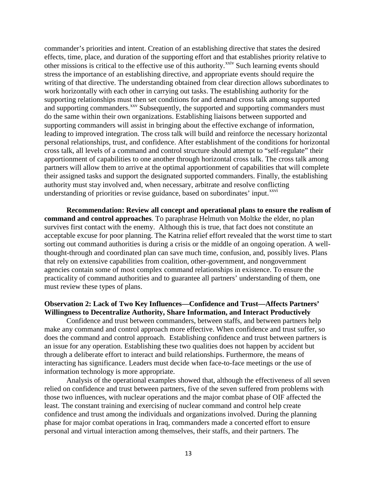commander's priorities and intent. Creation of an establishing directive that states the desired effects, time, place, and duration of the supporting effort and that establishes priority relative to other missions is critical to the effective use of this authority.<sup>[xxiv](#page-22-1)</sup> Such learning events should stress the importance of an establishing directive, and appropriate events should require the writing of that directive. The understanding obtained from clear direction allows subordinates to work horizontally with each other in carrying out tasks. The establishing authority for the supporting relationships must then set conditions for and demand cross talk among supported and supporting commanders.<sup>[xxv](#page-22-2)</sup> Subsequently, the supported and supporting commanders must do the same within their own organizations. Establishing liaisons between supported and supporting commanders will assist in bringing about the effective exchange of information, leading to improved integration. The cross talk will build and reinforce the necessary horizontal personal relationships, trust, and confidence. After establishment of the conditions for horizontal cross talk, all levels of a command and control structure should attempt to "self-regulate" their apportionment of capabilities to one another through horizontal cross talk. The cross talk among partners will allow them to arrive at the optimal apportionment of capabilities that will complete their assigned tasks and support the designated supported commanders. Finally, the establishing authority must stay involved and, when necessary, arbitrate and resolve conflicting understanding of priorities or revise guidance, based on subordinates' input.<sup>[xxvi](#page-22-3)</sup>

**Recommendation: Review all concept and operational plans to ensure the realism of command and control approaches**. To paraphrase Helmuth von Moltke the elder, no plan survives first contact with the enemy. Although this is true, that fact does not constitute an acceptable excuse for poor planning. The Katrina relief effort revealed that the worst time to start sorting out command authorities is during a crisis or the middle of an ongoing operation. A wellthought-through and coordinated plan can save much time, confusion, and, possibly lives. Plans that rely on extensive capabilities from coalition, other-government, and nongovernment agencies contain some of most complex command relationships in existence. To ensure the practicality of command authorities and to guarantee all partners' understanding of them, one must review these types of plans.

## **Observation 2: Lack of Two Key Influences—Confidence and Trust—Affects Partners' Willingness to Decentralize Authority, Share Information, and Interact Productively**

Confidence and trust between commanders, between staffs, and between partners help make any command and control approach more effective. When confidence and trust suffer, so does the command and control approach. Establishing confidence and trust between partners is an issue for any operation. Establishing these two qualities does not happen by accident but through a deliberate effort to interact and build relationships. Furthermore, the means of interacting has significance. Leaders must decide when face-to-face meetings or the use of information technology is more appropriate.

Analysis of the operational examples showed that, although the effectiveness of all seven relied on confidence and trust between partners, five of the seven suffered from problems with those two influences, with nuclear operations and the major combat phase of OIF affected the least. The constant training and exercising of nuclear command and control help create confidence and trust among the individuals and organizations involved. During the planning phase for major combat operations in Iraq, commanders made a concerted effort to ensure personal and virtual interaction among themselves, their staffs, and their partners. The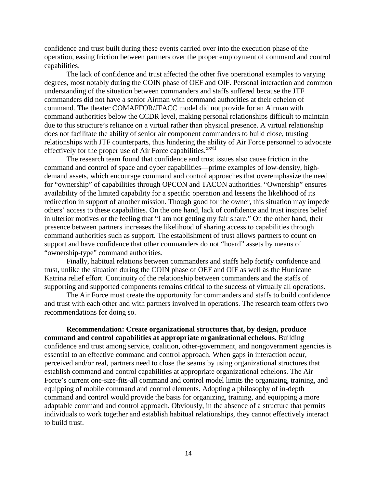confidence and trust built during these events carried over into the execution phase of the operation, easing friction between partners over the proper employment of command and control capabilities.

The lack of confidence and trust affected the other five operational examples to varying degrees, most notably during the COIN phase of OEF and OIF. Personal interaction and common understanding of the situation between commanders and staffs suffered because the JTF commanders did not have a senior Airman with command authorities at their echelon of command. The theater COMAFFOR/JFACC model did not provide for an Airman with command authorities below the CCDR level, making personal relationships difficult to maintain due to this structure's reliance on a virtual rather than physical presence. A virtual relationship does not facilitate the ability of senior air component commanders to build close, trusting relationships with JTF counterparts, thus hindering the ab[il](#page-22-4)ity of Air Force personnel to advocate effectively for the proper use of Air Force capabilities.<sup>xxvii</sup>

The research team found that confidence and trust issues also cause friction in the command and control of space and cyber capabilities—prime examples of low-density, highdemand assets, which encourage command and control approaches that overemphasize the need for "ownership" of capabilities through OPCON and TACON authorities. "Ownership" ensures availability of the limited capability for a specific operation and lessens the likelihood of its redirection in support of another mission. Though good for the owner, this situation may impede others' access to these capabilities. On the one hand, lack of confidence and trust inspires belief in ulterior motives or the feeling that "I am not getting my fair share." On the other hand, their presence between partners increases the likelihood of sharing access to capabilities through command authorities such as support. The establishment of trust allows partners to count on support and have confidence that other commanders do not "hoard" assets by means of "ownership-type" command authorities.

Finally, habitual relations between commanders and staffs help fortify confidence and trust, unlike the situation during the COIN phase of OEF and OIF as well as the Hurricane Katrina relief effort. Continuity of the relationship between commanders and the staffs of supporting and supported components remains critical to the success of virtually all operations.

The Air Force must create the opportunity for commanders and staffs to build confidence and trust with each other and with partners involved in operations. The research team offers two recommendations for doing so.

**Recommendation: Create organizational structures that, by design, produce command and control capabilities at appropriate organizational echelons**. Building confidence and trust among service, coalition, other-government, and nongovernment agencies is essential to an effective command and control approach. When gaps in interaction occur, perceived and/or real, partners need to close the seams by using organizational structures that establish command and control capabilities at appropriate organizational echelons. The Air Force's current one-size-fits-all command and control model limits the organizing, training, and equipping of mobile command and control elements. Adopting a philosophy of in-depth command and control would provide the basis for organizing, training, and equipping a more adaptable command and control approach. Obviously, in the absence of a structure that permits individuals to work together and establish habitual relationships, they cannot effectively interact to build trust.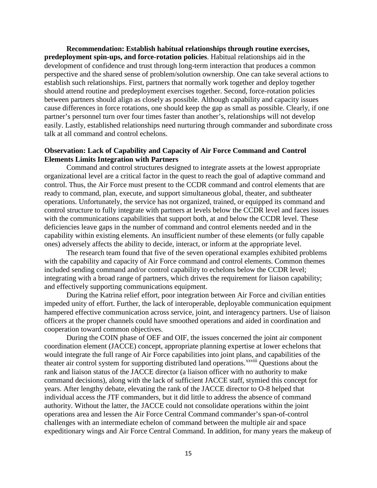**Recommendation: Establish habitual relationships through routine exercises, predeployment spin-ups, and force-rotation policies**. Habitual relationships aid in the development of confidence and trust through long-term interaction that produces a common perspective and the shared sense of problem/solution ownership. One can take several actions to establish such relationships. First, partners that normally work together and deploy together should attend routine and predeployment exercises together. Second, force-rotation policies between partners should align as closely as possible. Although capability and capacity issues cause differences in force rotations, one should keep the gap as small as possible. Clearly, if one partner's personnel turn over four times faster than another's, relationships will not develop easily. Lastly, established relationships need nurturing through commander and subordinate cross talk at all command and control echelons.

# **Observation: Lack of Capability and Capacity of Air Force Command and Control Elements Limits Integration with Partners**

Command and control structures designed to integrate assets at the lowest appropriate organizational level are a critical factor in the quest to reach the goal of adaptive command and control. Thus, the Air Force must present to the CCDR command and control elements that are ready to command, plan, execute, and support simultaneous global, theater, and subtheater operations. Unfortunately, the service has not organized, trained, or equipped its command and control structure to fully integrate with partners at levels below the CCDR level and faces issues with the communications capabilities that support both, at and below the CCDR level. These deficiencies leave gaps in the number of command and control elements needed and in the capability within existing elements. An insufficient number of these elements (or fully capable ones) adversely affects the ability to decide, interact, or inform at the appropriate level.

The research team found that five of the seven operational examples exhibited problems with the capability and capacity of Air Force command and control elements. Common themes included sending command and/or control capability to echelons below the CCDR level; integrating with a broad range of partners, which drives the requirement for liaison capability; and effectively supporting communications equipment.

During the Katrina relief effort, poor integration between Air Force and civilian entities impeded unity of effort. Further, the lack of interoperable, deployable communication equipment hampered effective communication across service, joint, and interagency partners. Use of liaison officers at the proper channels could have smoothed operations and aided in coordination and cooperation toward common objectives.

During the COIN phase of OEF and OIF, the issues concerned the joint air component coordination element (JACCE) concept, appropriate planning expertise at lower echelons that would integrate the full range of Air Force capabilities into joint plans, [an](#page-22-5)d capabilities of the theater air control system for supporting distributed land operations.<sup>xxviii</sup> Questions about the rank and liaison status of the JACCE director (a liaison officer with no authority to make command decisions), along with the lack of sufficient JACCE staff, stymied this concept for years. After lengthy debate, elevating the rank of the JACCE director to O-8 helped that individual access the JTF commanders, but it did little to address the absence of command authority. Without the latter, the JACCE could not consolidate operations within the joint operations area and lessen the Air Force Central Command commander's span-of-control challenges with an intermediate echelon of command between the multiple air and space expeditionary wings and Air Force Central Command. In addition, for many years the makeup of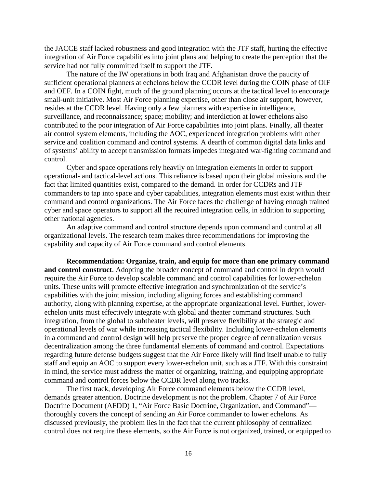the JACCE staff lacked robustness and good integration with the JTF staff, hurting the effective integration of Air Force capabilities into joint plans and helping to create the perception that the service had not fully committed itself to support the JTF.

The nature of the IW operations in both Iraq and Afghanistan drove the paucity of sufficient operational planners at echelons below the CCDR level during the COIN phase of OIF and OEF. In a COIN fight, much of the ground planning occurs at the tactical level to encourage small-unit initiative. Most Air Force planning expertise, other than close air support, however, resides at the CCDR level. Having only a few planners with expertise in intelligence, surveillance, and reconnaissance; space; mobility; and interdiction at lower echelons also contributed to the poor integration of Air Force capabilities into joint plans. Finally, all theater air control system elements, including the AOC, experienced integration problems with other service and coalition command and control systems. A dearth of common digital data links and of systems' ability to accept transmission formats impedes integrated war-fighting command and control.

Cyber and space operations rely heavily on integration elements in order to support operational- and tactical-level actions. This reliance is based upon their global missions and the fact that limited quantities exist, compared to the demand. In order for CCDRs and JTF commanders to tap into space and cyber capabilities, integration elements must exist within their command and control organizations. The Air Force faces the challenge of having enough trained cyber and space operators to support all the required integration cells, in addition to supporting other national agencies.

An adaptive command and control structure depends upon command and control at all organizational levels. The research team makes three recommendations for improving the capability and capacity of Air Force command and control elements.

**Recommendation: Organize, train, and equip for more than one primary command and control construct**. Adopting the broader concept of command and control in depth would require the Air Force to develop scalable command and control capabilities for lower-echelon units. These units will promote effective integration and synchronization of the service's capabilities with the joint mission, including aligning forces and establishing command authority, along with planning expertise, at the appropriate organizational level. Further, lowerechelon units must effectively integrate with global and theater command structures. Such integration, from the global to subtheater levels, will preserve flexibility at the strategic and operational levels of war while increasing tactical flexibility. Including lower-echelon elements in a command and control design will help preserve the proper degree of centralization versus decentralization among the three fundamental elements of command and control. Expectations regarding future defense budgets suggest that the Air Force likely will find itself unable to fully staff and equip an AOC to support every lower-echelon unit, such as a JTF. With this constraint in mind, the service must address the matter of organizing, training, and equipping appropriate command and control forces below the CCDR level along two tracks.

The first track, developing Air Force command elements below the CCDR level, demands greater attention. Doctrine development is not the problem. Chapter 7 of Air Force Doctrine Document (AFDD) 1, "Air Force Basic Doctrine, Organization, and Command" thoroughly covers the concept of sending an Air Force commander to lower echelons. As discussed previously, the problem lies in the fact that the current philosophy of centralized control does not require these elements, so the Air Force is not organized, trained, or equipped to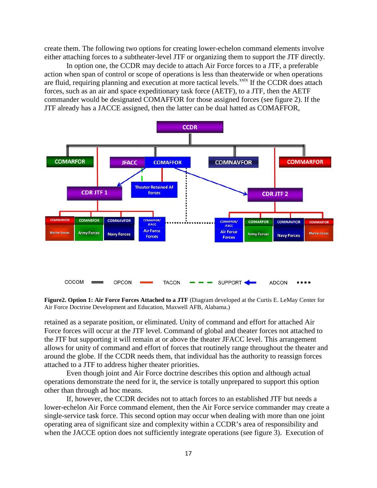create them. The following two options for creating lower-echelon command elements involve either attaching forces to a subtheater-level JTF or organizing them to support the JTF directly.

In option one, the CCDR may decide to attach Air Force forces to a JTF, a preferable action when span of control or scope of operations is less than theaterwide or when operations are fluid, requiring planning and execution at more tactical levels.<sup>[xxix](#page-22-6)</sup> If the CCDR does attach forces, such as an air and space expeditionary task force (AETF), to a JTF, then the AETF commander would be designated COMAFFOR for those assigned forces (see figure 2). If the JTF already has a JACCE assigned, then the latter can be dual hatted as COMAFFOR,



**Figure2. Option 1: Air Force Forces Attached to a JTF** (Diagram developed at the Curtis E. LeMay Center for Air Force Doctrine Development and Education, Maxwell AFB, Alabama.)

retained as a separate position, or eliminated. Unity of command and effort for attached Air Force forces will occur at the JTF level. Command of global and theater forces not attached to the JTF but supporting it will remain at or above the theater JFACC level. This arrangement allows for unity of command and effort of forces that routinely range throughout the theater and around the globe. If the CCDR needs them, that individual has the authority to reassign forces attached to a JTF to address higher theater priorities.

Even though joint and Air Force doctrine describes this option and although actual operations demonstrate the need for it, the service is totally unprepared to support this option other than through ad hoc means.

If, however, the CCDR decides not to attach forces to an established JTF but needs a lower-echelon Air Force command element, then the Air Force service commander may create a single-service task force. This second option may occur when dealing with more than one joint operating area of significant size and complexity within a CCDR's area of responsibility and when the JACCE option does not sufficiently integrate operations (see figure 3). Execution of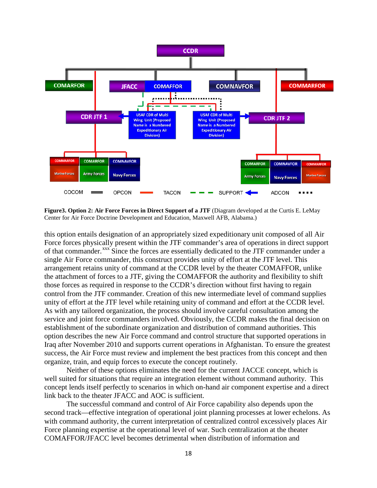

**Figure3. Option 2: Air Force Forces in Direct Support of a JTF** (Diagram developed at the Curtis E. LeMay Center for Air Force Doctrine Development and Education, Maxwell AFB, Alabama.)

this option entails designation of an appropriately sized expeditionary unit composed of all Air Force forces physically present within the JTF commander's area of operations in direct support of that commander.<sup>[xxx](#page-22-7)</sup> Since the forces are essentially dedicated to the JTF commander under a single Air Force commander, this construct provides unity of effort at the JTF level. This arrangement retains unity of command at the CCDR level by the theater COMAFFOR, unlike the attachment of forces to a JTF, giving the COMAFFOR the authority and flexibility to shift those forces as required in response to the CCDR's direction without first having to regain control from the JTF commander. Creation of this new intermediate level of command supplies unity of effort at the JTF level while retaining unity of command and effort at the CCDR level. As with any tailored organization, the process should involve careful consultation among the service and joint force commanders involved. Obviously, the CCDR makes the final decision on establishment of the subordinate organization and distribution of command authorities. This option describes the new Air Force command and control structure that supported operations in Iraq after November 2010 and supports current operations in Afghanistan. To ensure the greatest success, the Air Force must review and implement the best practices from this concept and then organize, train, and equip forces to execute the concept routinely.

Neither of these options eliminates the need for the current JACCE concept, which is well suited for situations that require an integration element without command authority. This concept lends itself perfectly to scenarios in which on-hand air component expertise and a direct link back to the theater JFACC and AOC is sufficient.

The successful command and control of Air Force capability also depends upon the second track—effective integration of operational joint planning processes at lower echelons. As with command authority, the current interpretation of centralized control excessively places Air Force planning expertise at the operational level of war. Such centralization at the theater COMAFFOR/JFACC level becomes detrimental when distribution of information and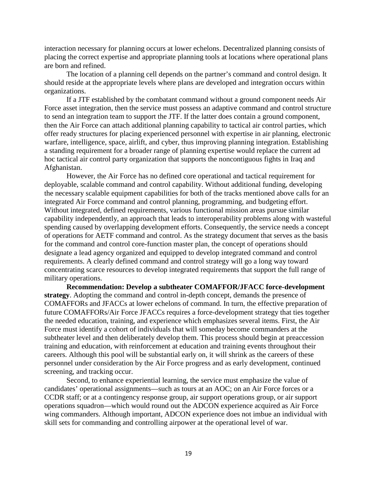interaction necessary for planning occurs at lower echelons. Decentralized planning consists of placing the correct expertise and appropriate planning tools at locations where operational plans are born and refined.

The location of a planning cell depends on the partner's command and control design. It should reside at the appropriate levels where plans are developed and integration occurs within organizations.

If a JTF established by the combatant command without a ground component needs Air Force asset integration, then the service must possess an adaptive command and control structure to send an integration team to support the JTF. If the latter does contain a ground component, then the Air Force can attach additional planning capability to tactical air control parties, which offer ready structures for placing experienced personnel with expertise in air planning, electronic warfare, intelligence, space, airlift, and cyber, thus improving planning integration. Establishing a standing requirement for a broader range of planning expertise would replace the current ad hoc tactical air control party organization that supports the noncontiguous fights in Iraq and Afghanistan.

However, the Air Force has no defined core operational and tactical requirement for deployable, scalable command and control capability. Without additional funding, developing the necessary scalable equipment capabilities for both of the tracks mentioned above calls for an integrated Air Force command and control planning, programming, and budgeting effort. Without integrated, defined requirements, various functional mission areas pursue similar capability independently, an approach that leads to interoperability problems along with wasteful spending caused by overlapping development efforts. Consequently, the service needs a concept of operations for AETF command and control. As the strategy document that serves as the basis for the command and control core-function master plan, the concept of operations should designate a lead agency organized and equipped to develop integrated command and control requirements. A clearly defined command and control strategy will go a long way toward concentrating scarce resources to develop integrated requirements that support the full range of military operations.

**Recommendation: Develop a subtheater COMAFFOR/JFACC force-development strategy**. Adopting the command and control in-depth concept, demands the presence of COMAFFORs and JFACCs at lower echelons of command. In turn, the effective preparation of future COMAFFORs/Air Force JFACCs requires a force-development strategy that ties together the needed education, training, and experience which emphasizes several items. First, the Air Force must identify a cohort of individuals that will someday become commanders at the subtheater level and then deliberately develop them. This process should begin at preaccession training and education, with reinforcement at education and training events throughout their careers. Although this pool will be substantial early on, it will shrink as the careers of these personnel under consideration by the Air Force progress and as early development, continued screening, and tracking occur.

Second, to enhance experiential learning, the service must emphasize the value of candidates' operational assignments—such as tours at an AOC; on an Air Force forces or a CCDR staff; or at a contingency response group, air support operations group, or air support operations squadron—which would round out the ADCON experience acquired as Air Force wing commanders. Although important, ADCON experience does not imbue an individual with skill sets for commanding and controlling airpower at the operational level of war.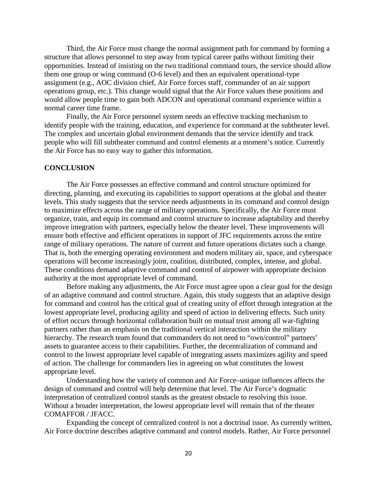Third, the Air Force must change the normal assignment path for command by forming a structure that allows personnel to step away from typical career paths without limiting their opportunities. Instead of insisting on the two traditional command tours, the service should allow them one group or wing command (O-6 level) and then an equivalent operational-type assignment (e.g., AOC division chief, Air Force forces staff, commander of an air support operations group, etc.). This change would signal that the Air Force values these positions and would allow people time to gain both ADCON and operational command experience within a normal career time frame.

Finally, the Air Force personnel system needs an effective tracking mechanism to identify people with the training, education, and experience for command at the subtheater level. The complex and uncertain global environment demands that the service identify and track people who will fill subtheater command and control elements at a moment's notice. Currently the Air Force has no easy way to gather this information.

#### **CONCLUSION**

The Air Force possesses an effective command and control structure optimized for directing, planning, and executing its capabilities to support operations at the global and theater levels. This study suggests that the service needs adjustments in its command and control design to maximize effects across the range of military operations. Specifically, the Air Force must organize, train, and equip its command and control structure to increase adaptability and thereby improve integration with partners, especially below the theater level. These improvements will ensure both effective and efficient operations in support of JFC requirements across the entire range of military operations. The nature of current and future operations dictates such a change. That is, both the emerging operating environment and modern military air, space, and cyberspace operations will become increasingly joint, coalition, distributed, complex, intense, and global. These conditions demand adaptive command and control of airpower with appropriate decision authority at the most appropriate level of command.

Before making any adjustments, the Air Force must agree upon a clear goal for the design of an adaptive command and control structure. Again, this study suggests that an adaptive design for command and control has the critical goal of creating unity of effort through integration at the lowest appropriate level, producing agility and speed of action in delivering effects. Such unity of effort occurs through horizontal collaboration built on mutual trust among all war-fighting partners rather than an emphasis on the traditional vertical interaction within the military hierarchy. The research team found that commanders do not need to "own/control" partners' assets to guarantee access to their capabilities. Further, the decentralization of command and control to the lowest appropriate level capable of integrating assets maximizes agility and speed of action. The challenge for commanders lies in agreeing on what constitutes the lowest appropriate level.

Understanding how the variety of common and Air Force–unique influences affects the design of command and control will help determine that level. The Air Force's dogmatic interpretation of centralized control stands as the greatest obstacle to resolving this issue. Without a broader interpretation, the lowest appropriate level will remain that of the theater COMAFFOR / JFACC.

Expanding the concept of centralized control is not a doctrinal issue. As currently written, Air Force doctrine describes adaptive command and control models. Rather, Air Force personnel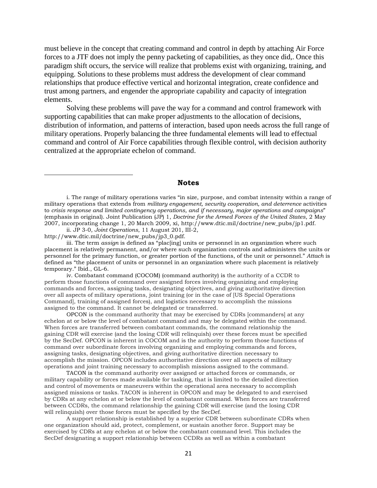must believe in the concept that creating command and control in depth by attaching Air Force forces to a JTF does not imply the penny packeting of capabilities, as they once did,. Once this paradigm shift occurs, the service will realize that problems exist with organizing, training, and equipping. Solutions to these problems must address the development of clear command relationships that produce effective vertical and horizontal integration, create confidence and trust among partners, and engender the appropriate capability and capacity of integration elements.

Solving these problems will pave the way for a command and control framework with supporting capabilities that can make proper adjustments to the allocation of decisions, distribution of information, and patterns of interaction, based upon needs across the full range of military operations. Properly balancing the three fundamental elements will lead to effectual command and control of Air Force capabilities through flexible control, with decision authority centralized at the appropriate echelon of command.

#### **Notes**

i. The range of military operations varies "in size, purpose, and combat intensity within a range of military operations that extends from *military engagement, security cooperation, and deterrence* activities to *crisis response and limited contingency operations, and if necessary, major operations and campaigns*" (emphasis in original). Joint Publication (JP) 1, *Doctrine for the Armed Forces of the United States*, 2 May 2007, incorporating change 1, 20 March 2009, xi, http://www.dtic.mil/doctrine/new\_pubs/jp1.pdf.

<span id="page-20-1"></span>ii. JP 3-0, *Joint Operations*, 11 August 201, III-2, http://www.dtic.mil/doctrine/new\_pubs/jp3\_0.pdf.

<span id="page-20-0"></span>ı

<span id="page-20-2"></span>iii. The term *assign* is defined as "plac[ing] units or personnel in an organization where such placement is relatively permanent, and/or where such organization controls and administers the units or personnel for the primary function, or greater portion of the functions, of the unit or personnel." *Attach* is defined as "the placement of units or personnel in an organization where such placement is relatively temporary." Ibid., GL-6.

<span id="page-20-3"></span>iv. Combatant command (COCOM) (command authority) is the authority of a CCDR to perform those functions of command over assigned forces involving organizing and employing commands and forces, assigning tasks, designating objectives, and giving authoritative direction over all aspects of military operations, joint training (or in the case of [US Special Operations Command], training of assigned forces), and logistics necessary to accomplish the missions assigned to the command. It cannot be delegated or transferred.

OPCON is the command authority that may be exercised by CDRs [commanders] at any echelon at or below the level of combatant command and may be delegated within the command. When forces are transferred between combatant commands, the command relationship the gaining CDR will exercise (and the losing CDR will relinquish) over these forces must be specified by the SecDef. OPCON is inherent in COCOM and is the authority to perform those functions of command over subordinate forces involving organizing and employing commands and forces, assigning tasks, designating objectives, and giving authoritative direction necessary to accomplish the mission. OPCON includes authoritative direction over all aspects of military operations and joint training necessary to accomplish missions assigned to the command.

TACON is the command authority over assigned or attached forces or commands, or military capability or forces made available for tasking, that is limited to the detailed direction and control of movements or maneuvers within the operational area necessary to accomplish assigned missions or tasks. TACON is inherent in OPCON and may be delegated to and exercised by CDRs at any echelon at or below the level of combatant command. When forces are transferred between CCDRs, the command relationship the gaining CDR will exercise (and the losing CDR will relinquish) over those forces must be specified by the SecDef.

A support relationship is established by a superior CDR between subordinate CDRs when one organization should aid, protect, complement, or sustain another force. Support may be exercised by CDRs at any echelon at or below the combatant command level. This includes the SecDef designating a support relationship between CCDRs as well as within a combatant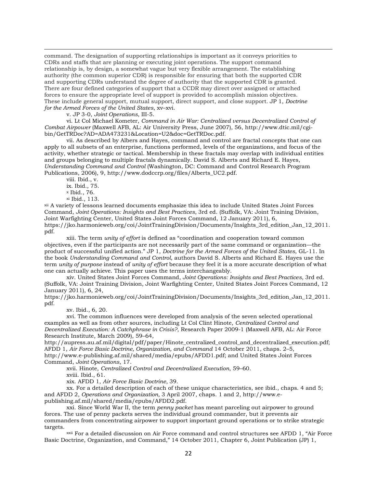command. The designation of supporting relationships is important as it conveys priorities to CDRs and staffs that are planning or executing joint operations. The support command relationship is, by design, a somewhat vague but very flexible arrangement. The establishing authority (the common superior CDR) is responsible for ensuring that both the supported CDR and supporting CDRs understand the degree of authority that the supported CDR is granted. There are four defined categories of support that a CCDR may direct over assigned or attached forces to ensure the appropriate level of support is provided to accomplish mission objectives. These include general support, mutual support, direct support, and close support. JP 1, *Doctrine for the Armed Forces of the United States*, xv–xvi.

v. JP 3-0, *Joint Operations*, III-5.

<span id="page-21-1"></span><span id="page-21-0"></span>vi. Lt Col Michael Kometer, *Command in Air War: Centralized versus Decentralized Control of Combat Airpower* (Maxwell AFB, AL: Air University Press, June 2007), 56, http://www.dtic.mil/cgibin/GetTRDoc?AD=ADA473231&Location=U2&doc=GetTRDoc.pdf.

<span id="page-21-2"></span>vii. As described by Albers and Hayes, command and control are fractal concepts that one can apply to all subsets of an enterprise, functions performed, levels of the organizations, and focus of the activity, whether strategic or tactical. Membership in these fractals may overlap with individual entities and groups belonging to multiple fractals dynamically. David S. Alberts and Richard E. Hayes, *Understanding Command and Control* (Washington, DC: Command and Control Research Program Publications, 2006), 9, http://www.dodccrp.org/files/Alberts\_UC2.pdf.

viii. Ibid., v.

.<br>-

ix. Ibid., 75. <sup>x</sup> Ibid., 76.

xi Ibid., 113.

<span id="page-21-7"></span><span id="page-21-6"></span><span id="page-21-5"></span><span id="page-21-4"></span><span id="page-21-3"></span>xii A variety of lessons learned documents emphasize this idea to include United States Joint Forces Command, *Joint Operations: Insights and Best Practices*, 3rd ed. (Suffolk, VA: Joint Training Division, Joint Warfighting Center, United States Joint Forces Command, 12 January 2011), 6, https://jko.harmonieweb.org/coi/JointTrainingDivision/Documents/Insights\_3rd\_edition\_Jan\_12\_2011. pdf.

<span id="page-21-8"></span>xiii. The term *unity of effort* is defined as "coordination and cooperation toward common objectives, even if the participants are not necessarily part of the same command or organization—the product of successful unified action." JP 1, *Doctrine for the Armed Forces of the United States*, GL-11. In the book *Understanding Command and Control*, authors David S. Alberts and Richard E. Hayes use the term *unity of purpose* instead of *unity of effort* because they feel it is a more accurate description of what one can actually achieve. This paper uses the terms interchangeably.

<span id="page-21-9"></span>xiv. United States Joint Forces Command, *Joint Operations: Insights and Best Practices*, 3rd ed. (Suffolk, VA: Joint Training Division, Joint Warfighting Center, United States Joint Forces Command, 12 January 2011), 6, 24,

https://jko.harmonieweb.org/coi/JointTrainingDivision/Documents/Insights 3rd edition Jan 12 2011. pdf.

xv. Ibid., 6, 20.

<span id="page-21-11"></span><span id="page-21-10"></span>xvi. The common influences were developed from analysis of the seven selected operational examples as well as from other sources, including Lt Col Clint Hinote, *Centralized Control and Decentralized Execution: A Catchphrase in Crisis?*, Research Paper 2009-1 (Maxwell AFB, AL: Air Force Research Institute, March 2009), 59–64,

http://aupress.au.af.mil/digital/pdf/paper/Hinote\_centralized\_control\_and\_decentralized\_execution.pdf; AFDD 1, *Air Force Basic Doctrine, Organization, and Command* 14 October 2011, chaps. 2–5, http://www.e-publishing.af.mil/shared/media/epubs/AFDD1.pdf; and United States Joint Forces

<span id="page-21-13"></span><span id="page-21-12"></span>Command, *Joint Operations*, 17.

xvii. Hinote, *Centralized Control and Decentralized Execution*, 59–60.

xviii. Ibid., 61.

xix. AFDD 1, *Air Force Basic Doctrine*, 39.

<span id="page-21-15"></span><span id="page-21-14"></span>xx. For a detailed description of each of these unique characteristics, see ibid., chaps. 4 and 5; and AFDD 2, *Operations and Organization,* 3 April 2007, chaps. 1 and 2, http://www.epublishing.af.mil/shared/media/epubs/AFDD2.pdf.

<span id="page-21-16"></span>xxi. Since World War II, the term *penny packet* has meant parceling out airpower to ground forces. The use of penny packets serves the individual ground commander, but it prevents air commanders from concentrating airpower to support important ground operations or to strike strategic targets.

<span id="page-21-17"></span>xxii For a detailed discussion on Air Force command and control structures see AFDD 1, "Air Force Basic Doctrine, Organization, and Command," 14 October 2011, Chapter 6, Joint Publication (JP) 1,